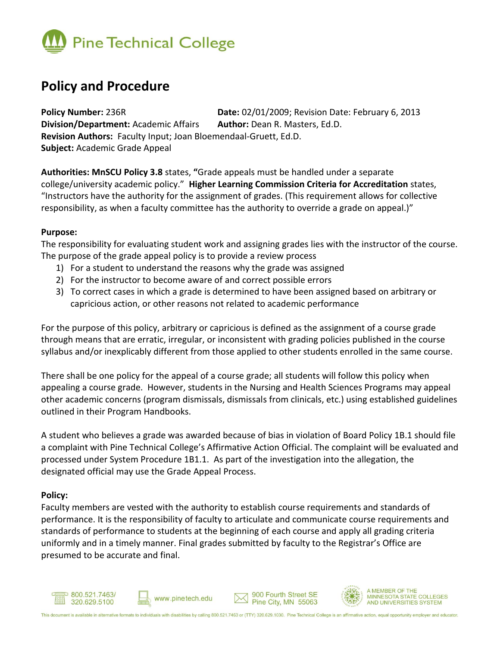

# **Policy and Procedure**

**Policy Number:** 236R **Date:** 02/01/2009; Revision Date: February 6, 2013 **Division/Department:** Academic Affairs **Author:** Dean R. Masters, Ed.D. **Revision Authors:** Faculty Input; Joan Bloemendaal-Gruett, Ed.D. **Subject:** Academic Grade Appeal

**Authorities: MnSCU Policy 3.8** states, **"**Grade appeals must be handled under a separate college/university academic policy." **Higher Learning Commission Criteria for Accreditation** states, "Instructors have the authority for the assignment of grades. (This requirement allows for collective responsibility, as when a faculty committee has the authority to override a grade on appeal.)"

### **Purpose:**

The responsibility for evaluating student work and assigning grades lies with the instructor of the course. The purpose of the grade appeal policy is to provide a review process

- 1) For a student to understand the reasons why the grade was assigned
- 2) For the instructor to become aware of and correct possible errors
- 3) To correct cases in which a grade is determined to have been assigned based on arbitrary or capricious action, or other reasons not related to academic performance

For the purpose of this policy, arbitrary or capricious is defined as the assignment of a course grade through means that are erratic, irregular, or inconsistent with grading policies published in the course syllabus and/or inexplicably different from those applied to other students enrolled in the same course.

There shall be one policy for the appeal of a course grade; all students will follow this policy when appealing a course grade. However, students in the Nursing and Health Sciences Programs may appeal other academic concerns (program dismissals, dismissals from clinicals, etc.) using established guidelines outlined in their Program Handbooks.

A student who believes a grade was awarded because of bias in violation of Board Policy 1B.1 should file a complaint with Pine Technical College's Affirmative Action Official. The complaint will be evaluated and processed under System Procedure 1B1.1. As part of the investigation into the allegation, the designated official may use the Grade Appeal Process.

## **Policy:**

Faculty members are vested with the authority to establish course requirements and standards of performance. It is the responsibility of faculty to articulate and communicate course requirements and standards of performance to students at the beginning of each course and apply all grading criteria uniformly and in a timely manner. Final grades submitted by faculty to the Registrar's Office are presumed to be accurate and final.









A MEMBER OF THE MINNESOTA STATE COLLEGES<br>AND UNIVERSITIES SYSTEM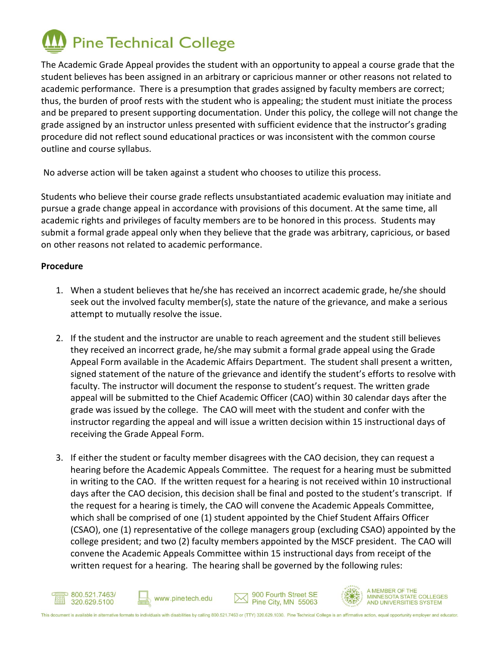

The Academic Grade Appeal provides the student with an opportunity to appeal a course grade that the student believes has been assigned in an arbitrary or capricious manner or other reasons not related to academic performance. There is a presumption that grades assigned by faculty members are correct; thus, the burden of proof rests with the student who is appealing; the student must initiate the process and be prepared to present supporting documentation. Under this policy, the college will not change the grade assigned by an instructor unless presented with sufficient evidence that the instructor's grading procedure did not reflect sound educational practices or was inconsistent with the common course outline and course syllabus.

No adverse action will be taken against a student who chooses to utilize this process.

Students who believe their course grade reflects unsubstantiated academic evaluation may initiate and pursue a grade change appeal in accordance with provisions of this document. At the same time, all academic rights and privileges of faculty members are to be honored in this process. Students may submit a formal grade appeal only when they believe that the grade was arbitrary, capricious, or based on other reasons not related to academic performance.

# **Procedure**

- 1. When a student believes that he/she has received an incorrect academic grade, he/she should seek out the involved faculty member(s), state the nature of the grievance, and make a serious attempt to mutually resolve the issue.
- 2. If the student and the instructor are unable to reach agreement and the student still believes they received an incorrect grade, he/she may submit a formal grade appeal using the Grade Appeal Form available in the Academic Affairs Department. The student shall present a written, signed statement of the nature of the grievance and identify the student's efforts to resolve with faculty. The instructor will document the response to student's request. The written grade appeal will be submitted to the Chief Academic Officer (CAO) within 30 calendar days after the grade was issued by the college. The CAO will meet with the student and confer with the instructor regarding the appeal and will issue a written decision within 15 instructional days of receiving the Grade Appeal Form.
- 3. If either the student or faculty member disagrees with the CAO decision, they can request a hearing before the Academic Appeals Committee. The request for a hearing must be submitted in writing to the CAO. If the written request for a hearing is not received within 10 instructional days after the CAO decision, this decision shall be final and posted to the student's transcript. If the request for a hearing is timely, the CAO will convene the Academic Appeals Committee, which shall be comprised of one (1) student appointed by the Chief Student Affairs Officer (CSAO), one (1) representative of the college managers group (excluding CSAO) appointed by the college president; and two (2) faculty members appointed by the MSCF president. The CAO will convene the Academic Appeals Committee within 15 instructional days from receipt of the written request for a hearing. The hearing shall be governed by the following rules: